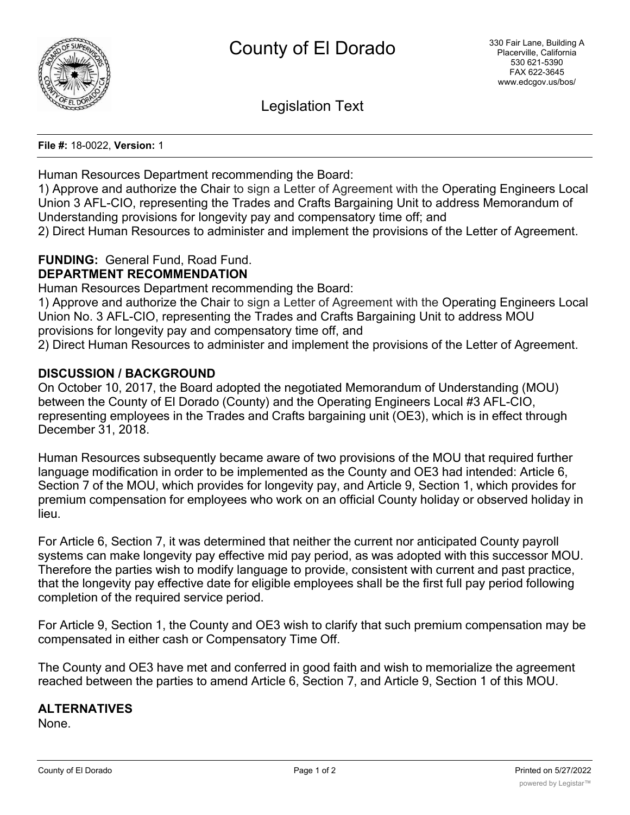

Legislation Text

**File #:** 18-0022, **Version:** 1

Human Resources Department recommending the Board:

1) Approve and authorize the Chair to sign a Letter of Agreement with the Operating Engineers Local Union 3 AFL-CIO, representing the Trades and Crafts Bargaining Unit to address Memorandum of Understanding provisions for longevity pay and compensatory time off; and

2) Direct Human Resources to administer and implement the provisions of the Letter of Agreement.

# **FUNDING:** General Fund, Road Fund.

## **DEPARTMENT RECOMMENDATION**

Human Resources Department recommending the Board:

1) Approve and authorize the Chair to sign a Letter of Agreement with the Operating Engineers Local Union No. 3 AFL-CIO, representing the Trades and Crafts Bargaining Unit to address MOU provisions for longevity pay and compensatory time off, and

2) Direct Human Resources to administer and implement the provisions of the Letter of Agreement.

## **DISCUSSION / BACKGROUND**

On October 10, 2017, the Board adopted the negotiated Memorandum of Understanding (MOU) between the County of El Dorado (County) and the Operating Engineers Local #3 AFL-CIO, representing employees in the Trades and Crafts bargaining unit (OE3), which is in effect through December 31, 2018.

Human Resources subsequently became aware of two provisions of the MOU that required further language modification in order to be implemented as the County and OE3 had intended: Article 6, Section 7 of the MOU, which provides for longevity pay, and Article 9, Section 1, which provides for premium compensation for employees who work on an official County holiday or observed holiday in lieu.

For Article 6, Section 7, it was determined that neither the current nor anticipated County payroll systems can make longevity pay effective mid pay period, as was adopted with this successor MOU. Therefore the parties wish to modify language to provide, consistent with current and past practice, that the longevity pay effective date for eligible employees shall be the first full pay period following completion of the required service period.

For Article 9, Section 1, the County and OE3 wish to clarify that such premium compensation may be compensated in either cash or Compensatory Time Off.

The County and OE3 have met and conferred in good faith and wish to memorialize the agreement reached between the parties to amend Article 6, Section 7, and Article 9, Section 1 of this MOU.

## **ALTERNATIVES**

None.